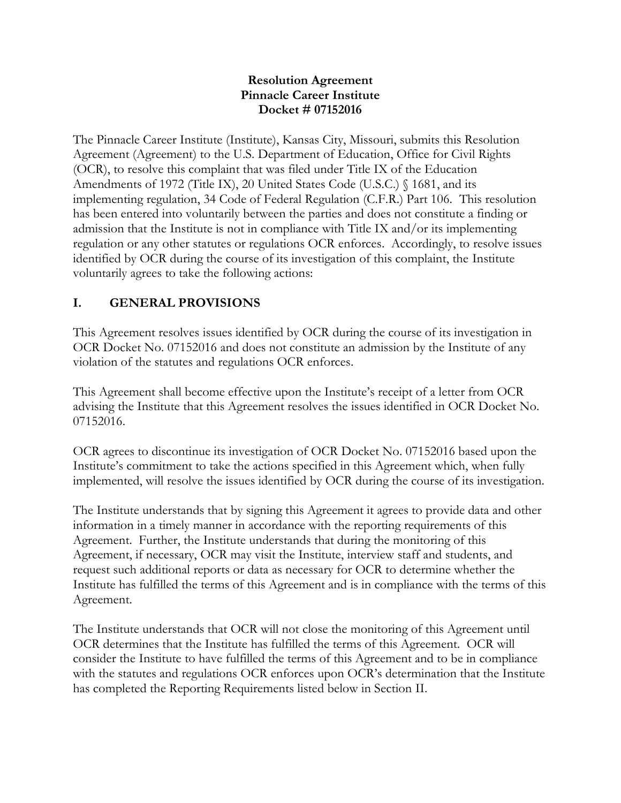#### **Resolution Agreement Pinnacle Career Institute Docket # 07152016**

The Pinnacle Career Institute (Institute), Kansas City, Missouri, submits this Resolution Agreement (Agreement) to the U.S. Department of Education, Office for Civil Rights (OCR), to resolve this complaint that was filed under Title IX of the Education Amendments of 1972 (Title IX), 20 United States Code (U.S.C.) § 1681, and its implementing regulation, 34 Code of Federal Regulation (C.F.R.) Part 106. This resolution has been entered into voluntarily between the parties and does not constitute a finding or admission that the Institute is not in compliance with Title IX and/or its implementing regulation or any other statutes or regulations OCR enforces. Accordingly, to resolve issues identified by OCR during the course of its investigation of this complaint, the Institute voluntarily agrees to take the following actions:

#### **I. GENERAL PROVISIONS**

This Agreement resolves issues identified by OCR during the course of its investigation in OCR Docket No. 07152016 and does not constitute an admission by the Institute of any violation of the statutes and regulations OCR enforces.

This Agreement shall become effective upon the Institute's receipt of a letter from OCR advising the Institute that this Agreement resolves the issues identified in OCR Docket No. 07152016.

OCR agrees to discontinue its investigation of OCR Docket No. 07152016 based upon the Institute's commitment to take the actions specified in this Agreement which, when fully implemented, will resolve the issues identified by OCR during the course of its investigation.

The Institute understands that by signing this Agreement it agrees to provide data and other information in a timely manner in accordance with the reporting requirements of this Agreement. Further, the Institute understands that during the monitoring of this Agreement, if necessary, OCR may visit the Institute, interview staff and students, and request such additional reports or data as necessary for OCR to determine whether the Institute has fulfilled the terms of this Agreement and is in compliance with the terms of this Agreement.

The Institute understands that OCR will not close the monitoring of this Agreement until OCR determines that the Institute has fulfilled the terms of this Agreement. OCR will consider the Institute to have fulfilled the terms of this Agreement and to be in compliance with the statutes and regulations OCR enforces upon OCR's determination that the Institute has completed the Reporting Requirements listed below in Section II.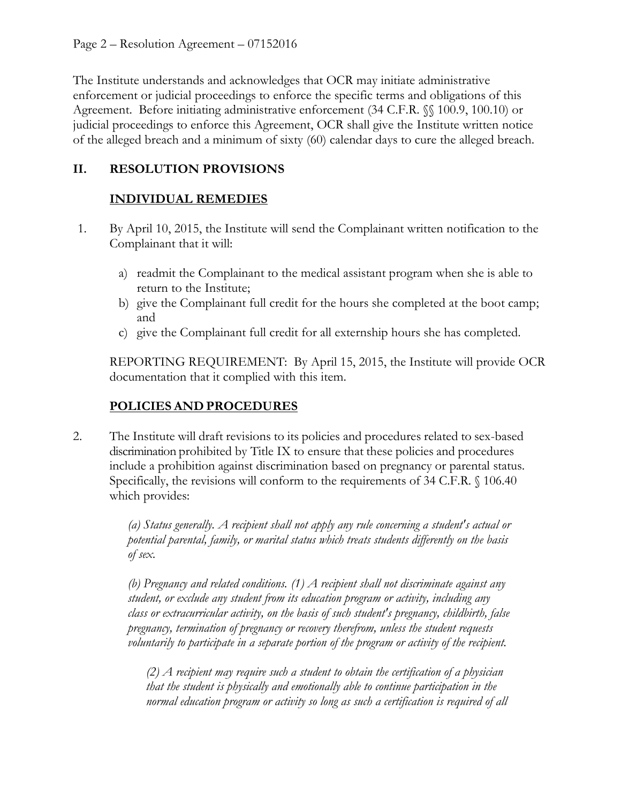The Institute understands and acknowledges that OCR may initiate administrative enforcement or judicial proceedings to enforce the specific terms and obligations of this Agreement. Before initiating administrative enforcement (34 C.F.R. §§ 100.9, 100.10) or judicial proceedings to enforce this Agreement, OCR shall give the Institute written notice of the alleged breach and a minimum of sixty (60) calendar days to cure the alleged breach.

## **II. RESOLUTION PROVISIONS**

# **INDIVIDUAL REMEDIES**

- 1. By April 10, 2015, the Institute will send the Complainant written notification to the Complainant that it will:
	- a) readmit the Complainant to the medical assistant program when she is able to return to the Institute;
	- b) give the Complainant full credit for the hours she completed at the boot camp; and
	- c) give the Complainant full credit for all externship hours she has completed.

REPORTING REQUIREMENT: By April 15, 2015, the Institute will provide OCR documentation that it complied with this item.

## **POLICIES AND PROCEDURES**

2. The Institute will draft revisions to its policies and procedures related to sex-based discrimination prohibited by Title IX to ensure that these policies and procedures include a prohibition against discrimination based on pregnancy or parental status. Specifically, the revisions will conform to the requirements of 34 C.F.R. § 106.40 which provides:

> *(a) Status generally. A recipient shall not apply any rule concerning a student's actual or potential parental, family, or marital status which treats students differently on the basis of sex.*

> *(b) Pregnancy and related conditions. (1) A recipient shall not discriminate against any student, or exclude any student from its education program or activity, including any class or extracurricular activity, on the basis of such student's pregnancy, childbirth, false pregnancy, termination of pregnancy or recovery therefrom, unless the student requests voluntarily to participate in a separate portion of the program or activity of the recipient.*

*(2) A recipient may require such a student to obtain the certification of a physician that the student is physically and emotionally able to continue participation in the normal education program or activity so long as such a certification is required of all*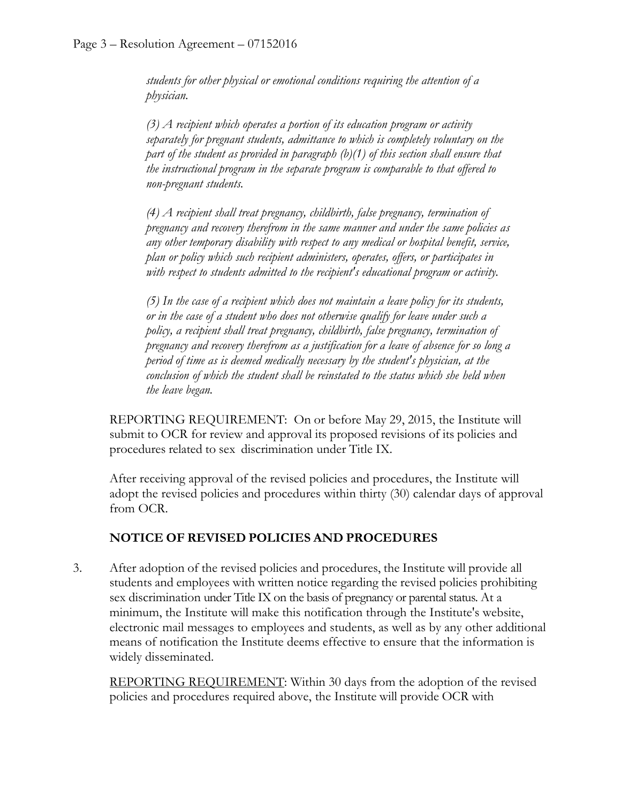*students for other physical or emotional conditions requiring the attention of a physician.* 

*(3) A recipient which operates a portion of its education program or activity separately for pregnant students, admittance to which is completely voluntary on the part of the student as provided in paragraph (b)(1) of this section shall ensure that the instructional program in the separate program is comparable to that offered to non-pregnant students.* 

*(4) A recipient shall treat pregnancy, childbirth, false pregnancy, termination of pregnancy and recovery therefrom in the same manner and under the same policies as any other temporary disability with respect to any medical or hospital benefit, service, plan or policy which such recipient administers, operates, offers, or participates in with respect to students admitted to the recipient's educational program or activity.* 

*(5) In the case of a recipient which does not maintain a leave policy for its students, or in the case of a student who does not otherwise qualify for leave under such a policy, a recipient shall treat pregnancy, childbirth, false pregnancy, termination of pregnancy and recovery therefrom as a justification for a leave of absence for so long a period of time as is deemed medically necessary by the student's physician, at the conclusion of which the student shall be reinstated to the status which she held when the leave began.*

REPORTING REQUIREMENT: On or before May 29, 2015, the Institute will submit to OCR for review and approval its proposed revisions of its policies and procedures related to sex discrimination under Title IX.

After receiving approval of the revised policies and procedures, the Institute will adopt the revised policies and procedures within thirty (30) calendar days of approval from OCR.

#### **NOTICE OF REVISED POLICIES AND PROCEDURES**

3. After adoption of the revised policies and procedures, the Institute will provide all students and employees with written notice regarding the revised policies prohibiting sex discrimination under Title IX on the basis of pregnancy or parental status. At a minimum, the Institute will make this notification through the Institute's website, electronic mail messages to employees and students, as well as by any other additional means of notification the Institute deems effective to ensure that the information is widely disseminated.

REPORTING REQUIREMENT: Within 30 days from the adoption of the revised policies and procedures required above, the Institute will provide OCR with